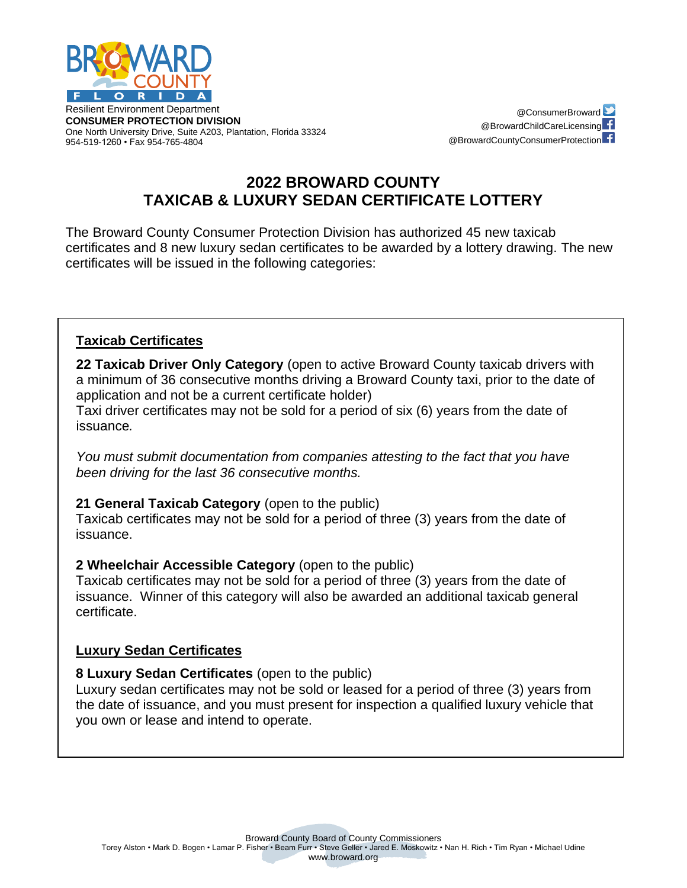

Resilient Environment Department **CONSUMER PROTECTION DIVISION** One North University Drive, Suite A203, Plantation, Florida 33324 954-519-1260 • Fax 954-765-4804

@ConsumerBroward @BrowardChildCareLicensing<sup>----</sup> @BrowardCountyConsumerProtection

# **2022 BROWARD COUNTY TAXICAB & LUXURY SEDAN CERTIFICATE LOTTERY**

The Broward County Consumer Protection Division has authorized 45 new taxicab certificates and 8 new luxury sedan certificates to be awarded by a lottery drawing. The new certificates will be issued in the following categories:

# **Taxicab Certificates**

**22 Taxicab Driver Only Category** (open to active Broward County taxicab drivers with a minimum of 36 consecutive months driving a Broward County taxi, prior to the date of application and not be a current certificate holder)

Taxi driver certificates may not be sold for a period of six (6) years from the date of issuance*.*

*You must submit documentation from companies attesting to the fact that you have been driving for the last 36 consecutive months.* 

### **21 General Taxicab Category** (open to the public)

Taxicab certificates may not be sold for a period of three (3) years from the date of issuance.

### **2 Wheelchair Accessible Category** (open to the public)

Taxicab certificates may not be sold for a period of three (3) years from the date of issuance. Winner of this category will also be awarded an additional taxicab general certificate.

# **Luxury Sedan Certificates**

### **8 Luxury Sedan Certificates** (open to the public)

Luxury sedan certificates may not be sold or leased for a period of three (3) years from the date of issuance, and you must present for inspection a qualified luxury vehicle that you own or lease and intend to operate.